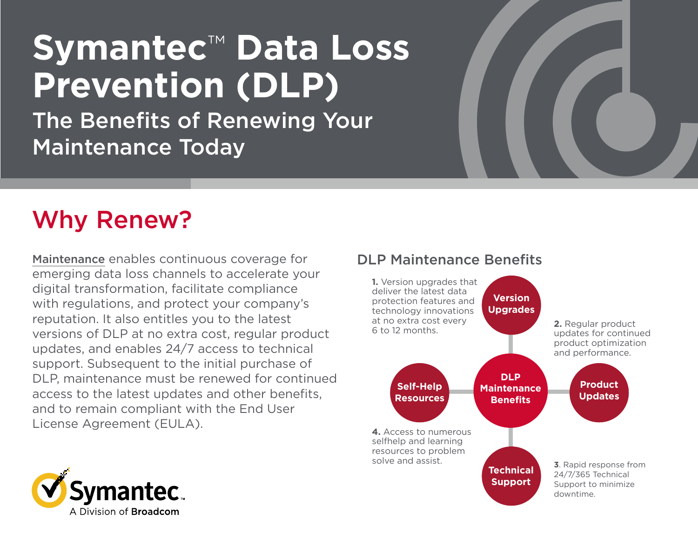## **Symantec**™ **Data Loss Prevention (DLP)**

The Benefits of Renewing Your Maintenance Today

### Why Renew?

Maintenance enables continuous coverage for emerging data loss channels to accelerate your digital transformation, facilitate compliance with regulations, and protect your company's reputation. It also entitles you to the latest versions of DLP at no extra cost, regular product updates, and enables 24/7 access to technical support. Subsequent to the initial purchase of DLP, maintenance must be renewed for continued access to the latest updates and other benefits, and to remain compliant with the End User License Agreement (EULA).

# mantec.

A Division of **Broadcom** 

#### DLP Maintenance Benefits

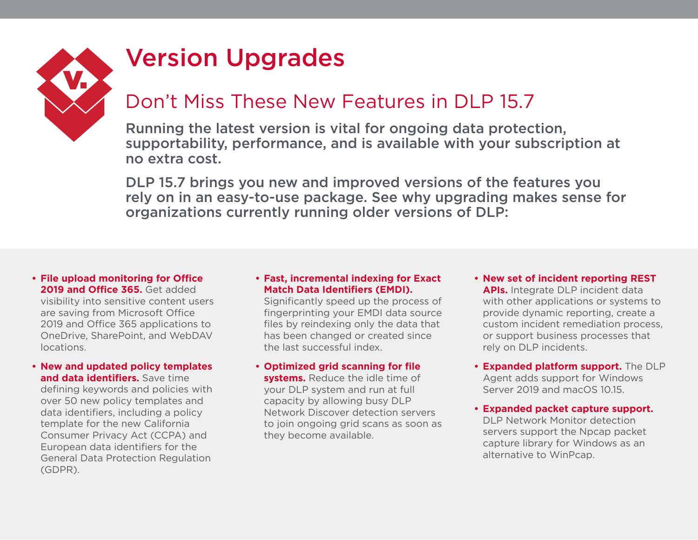

### Version Upgrades

### Don't Miss These New Features in DLP 15.7

Running the latest version is vital for ongoing data protection, supportability, performance, and is available with your subscription at no extra cost.

DLP 15.7 brings you new and improved versions of the features you rely on in an easy-to-use package. See why upgrading makes sense for organizations currently running older versions of DLP:

#### **• File upload monitoring for Office**  2019 and Office 365. Get added

visibility into sensitive content users are saving from Microsoft Office 2019 and Office 365 applications to OneDrive, SharePoint, and WebDAV locations.

**• New and updated policy templates and data identifiers.** Save time

defining keywords and policies with over 50 new policy templates and data identifiers, including a policy template for the new California Consumer Privacy Act (CCPA) and European data identifiers for the General Data Protection Regulation (GDPR).

#### **• Fast, incremental indexing for Exact Match Data Identifiers (EMDI).**

Significantly speed up the process of fingerprinting your EMDI data source files by reindexing only the data that has been changed or created since the last successful index.

- **• Optimized grid scanning for file systems.** Reduce the idle time of your DLP system and run at full capacity by allowing busy DLP Network Discover detection servers to join ongoing grid scans as soon as they become available.
- **• New set of incident reporting REST APIs.** Integrate DLP incident data with other applications or systems to provide dynamic reporting, create a custom incident remediation process, or support business processes that rely on DLP incidents.
- **• Expanded platform support.** The DLP Agent adds support for Windows Server 2019 and macOS 10.15.
- **• Expanded packet capture support.**  DLP Network Monitor detection servers support the Npcap packet capture library for Windows as an alternative to WinPcap.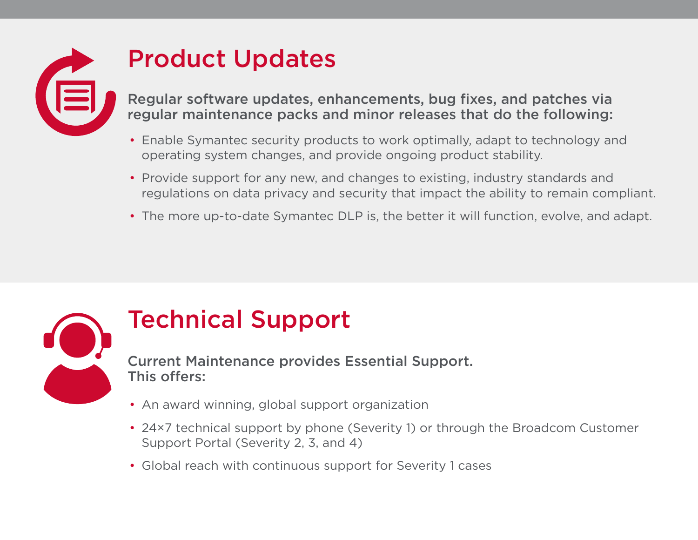

### Product Updates

Regular software updates, enhancements, bug fixes, and patches via regular maintenance packs and minor releases that do the following:

- Enable Symantec security products to work optimally, adapt to technology and operating system changes, and provide ongoing product stability.
- Provide support for any new, and changes to existing, industry standards and regulations on data privacy and security that impact the ability to remain compliant.
- The more up-to-date Symantec DLP is, the better it will function, evolve, and adapt.



### Technical Support

Current Maintenance provides Essential Support. This offers:

- An award winning, global support organization
- 24×7 technical support by phone (Severity 1) or through the Broadcom Customer Support Portal (Severity 2, 3, and 4)
- Global reach with continuous support for Severity 1 cases